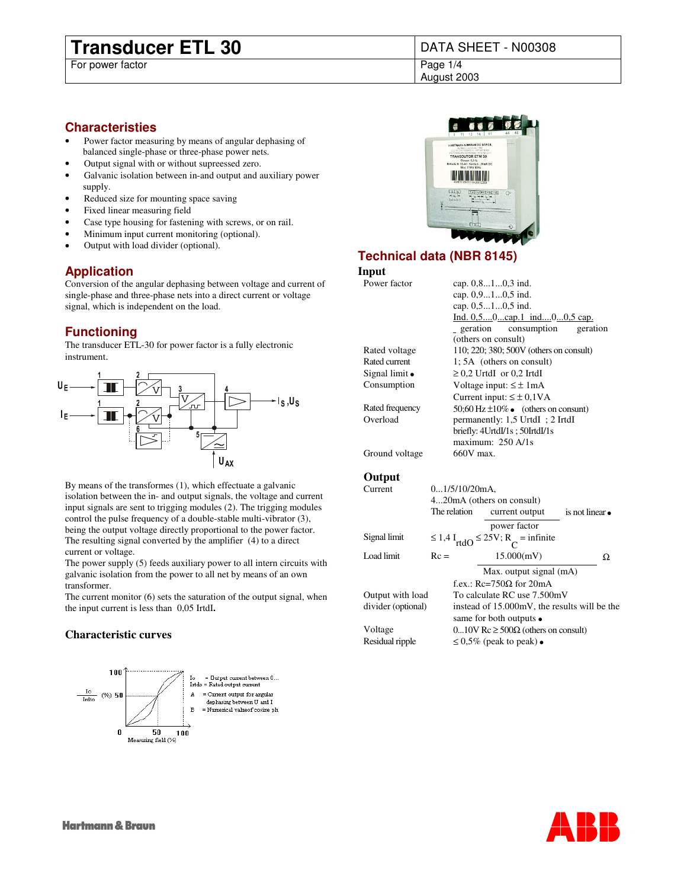# **Transducer ETL 30** DATA SHEET - N00308<br>For power factor<br>Page 1/4

For power factor

August 2003

# **Characteristies**

- Power factor measuring by means of angular dephasing of balanced single-phase or three-phase power nets.
- Output signal with or without supreessed zero.
- Galvanic isolation between in-and output and auxiliary power supply.
- Reduced size for mounting space saving
- Fixed linear measuring field
- Case type housing for fastening with screws, or on rail.
- Minimum input current monitoring (optional).
- Output with load divider (optional).

# **Application**

Conversion of the angular dephasing between voltage and current of single-phase and three-phase nets into a direct current or voltage signal, which is independent on the load.

# **Functioning**

The transducer ETL-30 for power factor is a fully electronic instrument.



By means of the transformes (1), which effectuate a galvanic isolation between the in- and output signals, the voltage and current input signals are sent to trigging modules (2). The trigging modules control the pulse frequency of a double-stable multi-vibrator (3), being the output voltage directly proportional to the power factor. The resulting signal converted by the amplifier (4) to a direct current or voltage.

The power supply (5) feeds auxiliary power to all intern circuits with galvanic isolation from the power to all net by means of an own transformer.

The current monitor (6) sets the saturation of the output signal, when the input current is less than 0,05 IrtdI**.**

# **Characteristic curves**





# **Technical data (NBR 8145)**

## **Input**

| Power factor    | cap. $0, 810, 3$ ind.                   |  |  |  |  |  |  |  |  |  |  |
|-----------------|-----------------------------------------|--|--|--|--|--|--|--|--|--|--|
|                 | cap. 0,910,5 ind.                       |  |  |  |  |  |  |  |  |  |  |
|                 | cap. 0,510,5 ind.                       |  |  |  |  |  |  |  |  |  |  |
|                 | Ind. $0,50$ cap.1 ind $00,5$ cap.       |  |  |  |  |  |  |  |  |  |  |
|                 | geration consumption<br>geration        |  |  |  |  |  |  |  |  |  |  |
|                 | (others on consult)                     |  |  |  |  |  |  |  |  |  |  |
| Rated voltage   | 110; 220; 380; 500V (others on consult) |  |  |  |  |  |  |  |  |  |  |
| Rated current   | $1:5A$ (others on consult)              |  |  |  |  |  |  |  |  |  |  |
| Signal limit    | $\geq$ 0.2 UrtdI or 0.2 IrtdI           |  |  |  |  |  |  |  |  |  |  |
| Consumption     | Voltage input: $\leq \pm 1$ mA          |  |  |  |  |  |  |  |  |  |  |
|                 | Current input: $\leq \pm 0.1 \text{VA}$ |  |  |  |  |  |  |  |  |  |  |
| Rated frequency | 50;60 Hz $\pm 10\%$ (others on consunt) |  |  |  |  |  |  |  |  |  |  |
| Overload        | permanently: 1,5 UrtdI ; 2 IrtdI        |  |  |  |  |  |  |  |  |  |  |
|                 | briefly: $4UrtdI/1s$ : $50IrtdI/1s$     |  |  |  |  |  |  |  |  |  |  |
|                 | maximum: $250 \text{ A}/1s$             |  |  |  |  |  |  |  |  |  |  |
| Ground voltage  | 660V max.                               |  |  |  |  |  |  |  |  |  |  |
|                 |                                         |  |  |  |  |  |  |  |  |  |  |

# **Output**

| Current            | $01/5/10/20$ mA,          |                                                                    |               |   |  |  |  |  |  |
|--------------------|---------------------------|--------------------------------------------------------------------|---------------|---|--|--|--|--|--|
|                    | 420mA (others on consult) |                                                                    |               |   |  |  |  |  |  |
|                    | The relation              | current output                                                     | is not linear |   |  |  |  |  |  |
|                    |                           | power factor                                                       |               |   |  |  |  |  |  |
| Signal limit       |                           | $\leq$ 1,4 I <sub>rtdO</sub> $\leq$ 25V; R <sub>C</sub> = infinite |               |   |  |  |  |  |  |
| Load limit         | $Rc =$                    | 15.000(mV)                                                         |               | Ω |  |  |  |  |  |
|                    |                           | Max. output signal (mA)                                            |               |   |  |  |  |  |  |
|                    |                           | f.ex.: $Re=750\Omega$ for 20mA                                     |               |   |  |  |  |  |  |
| Output with load   |                           | To calculate RC use 7.500mV                                        |               |   |  |  |  |  |  |
| divider (optional) |                           | instead of 15.000mV, the results will be the                       |               |   |  |  |  |  |  |
|                    |                           | same for both outputs                                              |               |   |  |  |  |  |  |
| Voltage            |                           | $010V$ Rc $\geq 500\Omega$ (others on consult)                     |               |   |  |  |  |  |  |
| Residual ripple    |                           | $\leq 0.5\%$ (peak to peak)                                        |               |   |  |  |  |  |  |
|                    |                           |                                                                    |               |   |  |  |  |  |  |

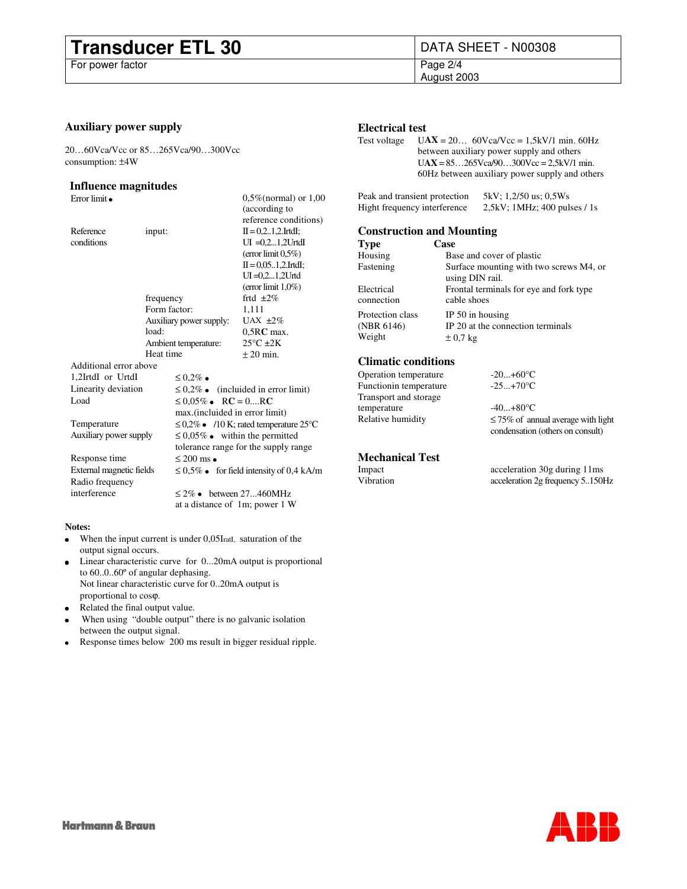# **Transducer ETL 30** DATA SHEET - N00308<br>For power factor<br>Page 2/4

For power factor

August 2003

## **Auxiliary power supply**

20…60Vca/Vcc or 85…265Vca/90…300Vcc consumption: ±4W

### **Influence magnitudes**

Error limit  $0.5\%$  (normal) or  $1,00$ 

|                          |                                            |                                                           |  | (according to                  |  |  |  |  |  |  |  |  |
|--------------------------|--------------------------------------------|-----------------------------------------------------------|--|--------------------------------|--|--|--|--|--|--|--|--|
|                          |                                            |                                                           |  | reference conditions)          |  |  |  |  |  |  |  |  |
| Reference                | input:                                     |                                                           |  | $II = 0, 2, 1, 2$ . IrtdI;     |  |  |  |  |  |  |  |  |
| conditions               |                                            |                                                           |  | $UI = 0, 2,1, 2UrtdI$          |  |  |  |  |  |  |  |  |
|                          |                                            |                                                           |  | (error limit $0.5\%$ )         |  |  |  |  |  |  |  |  |
|                          |                                            |                                                           |  | $II = 0.051.2$ . IrtdI;        |  |  |  |  |  |  |  |  |
|                          |                                            |                                                           |  | $UI = 0, 2,1, 2U$ rtd          |  |  |  |  |  |  |  |  |
|                          |                                            |                                                           |  | (error limit $1,0\%$ )         |  |  |  |  |  |  |  |  |
|                          | frequency                                  |                                                           |  | frtd $\pm 2\%$                 |  |  |  |  |  |  |  |  |
|                          | Form factor:                               |                                                           |  | 1,111                          |  |  |  |  |  |  |  |  |
|                          |                                            | Auxiliary power supply:                                   |  | UAX $\pm 2\%$                  |  |  |  |  |  |  |  |  |
|                          | load:                                      |                                                           |  | $0,5RC$ max.                   |  |  |  |  |  |  |  |  |
|                          |                                            | Ambient temperature:                                      |  | $25^{\circ}$ C $\pm 2K$        |  |  |  |  |  |  |  |  |
|                          | Heat time                                  |                                                           |  | $+20$ min.                     |  |  |  |  |  |  |  |  |
| Additional error above   |                                            |                                                           |  |                                |  |  |  |  |  |  |  |  |
| 1,2IrtdI or UrtdI        |                                            | $\leq 0.2\%$                                              |  |                                |  |  |  |  |  |  |  |  |
| Linearity deviation      | $\leq 0.2\%$<br>(incluided in error limit) |                                                           |  |                                |  |  |  |  |  |  |  |  |
| Load                     |                                            | $RC = 0RC$<br>$\leq 0.05\%$                               |  |                                |  |  |  |  |  |  |  |  |
|                          |                                            | max.(incluided in error limit)                            |  |                                |  |  |  |  |  |  |  |  |
| Temperature              |                                            | $\leq$ 0,2% /10 K; rated temperature 25 °C                |  |                                |  |  |  |  |  |  |  |  |
| Auxiliary power supply   | within the permitted<br>$\leq 0.05\%$      |                                                           |  |                                |  |  |  |  |  |  |  |  |
|                          |                                            | tolerance range for the supply range                      |  |                                |  |  |  |  |  |  |  |  |
| Response time            |                                            | $\leq 200$ ms                                             |  |                                |  |  |  |  |  |  |  |  |
| External magnetic fields |                                            | $\leq 0.5\%$<br>for field intensity of $0.4 \text{ kA/m}$ |  |                                |  |  |  |  |  |  |  |  |
| Radio frequency          |                                            |                                                           |  |                                |  |  |  |  |  |  |  |  |
| interference             |                                            | $\leq 2\%$                                                |  | between 27460MHz               |  |  |  |  |  |  |  |  |
|                          |                                            |                                                           |  | at a distance of 1m; power 1 W |  |  |  |  |  |  |  |  |
|                          |                                            |                                                           |  |                                |  |  |  |  |  |  |  |  |
|                          |                                            |                                                           |  |                                |  |  |  |  |  |  |  |  |

### **Notes:**

 When the input current is under 0,05IratI, saturation of the output signal occurs.

 Linear characteristic curve for 0...20mA output is proportional to 60..0..60º of angular dephasing.

Not linear characteristic curve for 0..20mA output is

proportional to cosϕ.

Related the final output value.

 When using "double output" there is no galvanic isolation between the output signal.

Response times below 200 ms result in bigger residual ripple.

# **Electrical test**<br>Test voltage U/

 $UAX = 20... 60Vca/Vcc = 1,5kV/1 min. 60Hz$ between auxiliary power supply and others  $UAX = 85...265Vca/90...300Vcc = 2,5kV/1$  min. 60Hz between auxiliary power supply and others

Peak and transient protection 5kV; 1,2/50 us; 0,5Ws Hight frequency interference 2,5kV; 1MHz; 400 pulses / 1s

### **Construction and Mounting**

| Type                           | Case                                                       |
|--------------------------------|------------------------------------------------------------|
| Housing                        | Base and cover of plastic                                  |
| Fastening                      | Surface mounting with two screws M4, or<br>using DIN rail. |
| Electrical<br>connection       | Frontal terminals for eye and fork type<br>cable shoes     |
| Protection class<br>(NBR 6146) | IP $50$ in housing<br>IP 20 at the connection terminals    |
| Weight                         | $\pm$ 0.7 kg                                               |

### **Climatic conditions**

Operation temperature  $-20...+60^{\circ}$ C<br>Functionin temperature  $-25...+70^{\circ}$ C Functionin temperature Transport and storage temperature  $-40...+80^{\circ}C$ Relative humidity  $\leq 75\%$  of annual average with light condensation (others on consult)

# **Mechanical Test**

Impact acceleration 30g during 11ms<br>Vibration acceleration 2g frequency 5.150 acceleration 2g frequency 5..150Hz

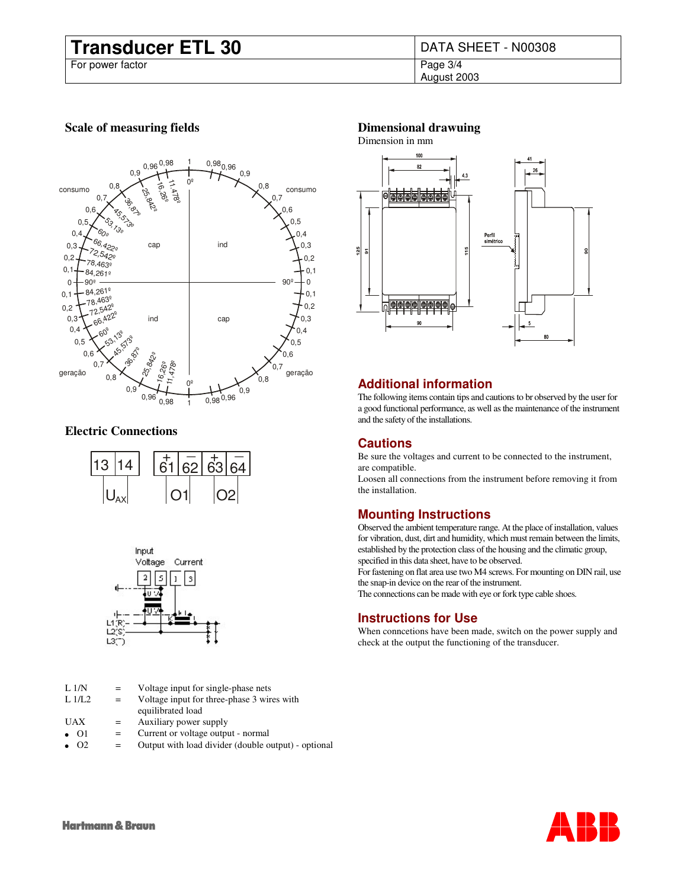# **Transducer ETL 30** DATA SHEET - N00308<br>For power factor<br>Page 3/4

For power factor

August 2003

# **Scale of measuring fields**



# **Electric Connections**





| L <sub>1/N</sub> | $=$ | Voltage input for single-phase nets                 |
|------------------|-----|-----------------------------------------------------|
| L1/L2            | $=$ | Voltage input for three-phase 3 wires with          |
|                  |     | equilibrated load                                   |
| <b>UAX</b>       | $=$ | Auxiliary power supply                              |
| O <sub>1</sub>   | $=$ | Current or voltage output - normal                  |
| $\Omega$         |     | Output with load divider (double output) - optional |

# **Dimensional drawuing**



# **Additional information**

The following items contain tips and cautions to br observed by the user for a good functional performance, as well as the maintenance of the instrument and the safety of the installations.

# **Cautions**

Be sure the voltages and current to be connected to the instrument, are compatible.

Loosen all connections from the instrument before removing it from the installation.

# **Mounting Instructions**

Observed the ambient temperature range. At the place of installation, values for vibration, dust, dirt and humidity, which must remain between the limits, established by the protection class of the housing and the climatic group, specified in this data sheet, have to be observed.

For fastening on flat area use two M4 screws. For mounting on DIN rail, use the snap-in device on the rear of the instrument.

The connections can be made with eye or fork type cable shoes.

# **Instructions for Use**

When conncetions have been made, switch on the power supply and check at the output the functioning of the transducer.